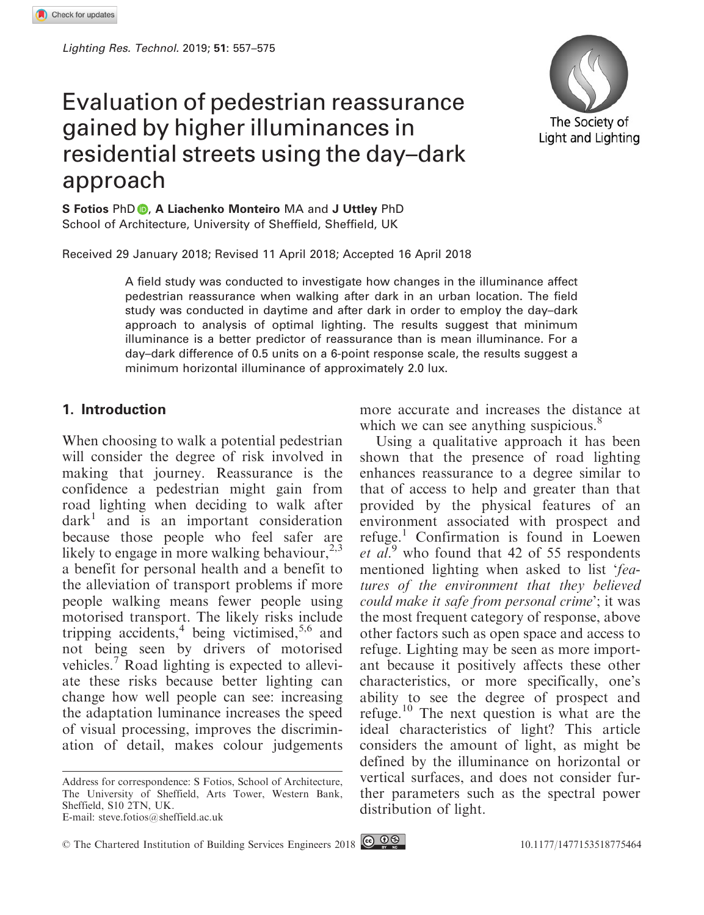# Evaluation of pedestrian reassurance gained by higher illuminances in residential streets using the day–dark approach



S Fotios PhD **D**[,](http://orcid.org/0000-0002-2410-7641) A Liachenko Monteiro MA and J Uttley PhD School of Architecture, University of Sheffield, Sheffield, UK

Received 29 January 2018; Revised 11 April 2018; Accepted 16 April 2018

A field study was conducted to investigate how changes in the illuminance affect pedestrian reassurance when walking after dark in an urban location. The field study was conducted in daytime and after dark in order to employ the day–dark approach to analysis of optimal lighting. The results suggest that minimum illuminance is a better predictor of reassurance than is mean illuminance. For a day–dark difference of 0.5 units on a 6-point response scale, the results suggest a minimum horizontal illuminance of approximately 2.0 lux.

### 1. Introduction

When choosing to walk a potential pedestrian will consider the degree of risk involved in making that journey. Reassurance is the confidence a pedestrian might gain from road lighting when deciding to walk after  $dark<sup>1</sup>$  and is an important consideration because those people who feel safer are likely to engage in more walking behaviour.<sup>2,3</sup> a benefit for personal health and a benefit to the alleviation of transport problems if more people walking means fewer people using motorised transport. The likely risks include tripping accidents,<sup>4</sup> being victimised,<sup>5,6</sup> and not being seen by drivers of motorised vehicles.<sup>7</sup> Road lighting is expected to alleviate these risks because better lighting can change how well people can see: increasing the adaptation luminance increases the speed of visual processing, improves the discrimination of detail, makes colour judgements

more accurate and increases the distance at which we can see anything suspicious.<sup>8</sup>

Using a qualitative approach it has been shown that the presence of road lighting enhances reassurance to a degree similar to that of access to help and greater than that provided by the physical features of an environment associated with prospect and refuge.<sup>1</sup> Confirmation is found in Loewen et  $\overline{al}^9$  who found that 42 of 55 respondents mentioned lighting when asked to list 'features of the environment that they believed could make it safe from personal crime'; it was the most frequent category of response, above other factors such as open space and access to refuge. Lighting may be seen as more important because it positively affects these other characteristics, or more specifically, one's ability to see the degree of prospect and refuge.<sup>10</sup> The next question is what are the ideal characteristics of light? This article considers the amount of light, as might be defined by the illuminance on horizontal or vertical surfaces, and does not consider further parameters such as the spectral power distribution of light.

 $\degree$  The Chartered Institution of Building Services Engineers 2018  $\degree$   $\degree$  [10.1177/1477153518775464](https://doi.org/10.1177/1477153518775464)



Address for correspondence: S Fotios, School of Architecture, The University of Sheffield, Arts Tower, Western Bank, Sheffield, S10 2TN, UK. E-mail: steve.fotios@sheffield.ac.uk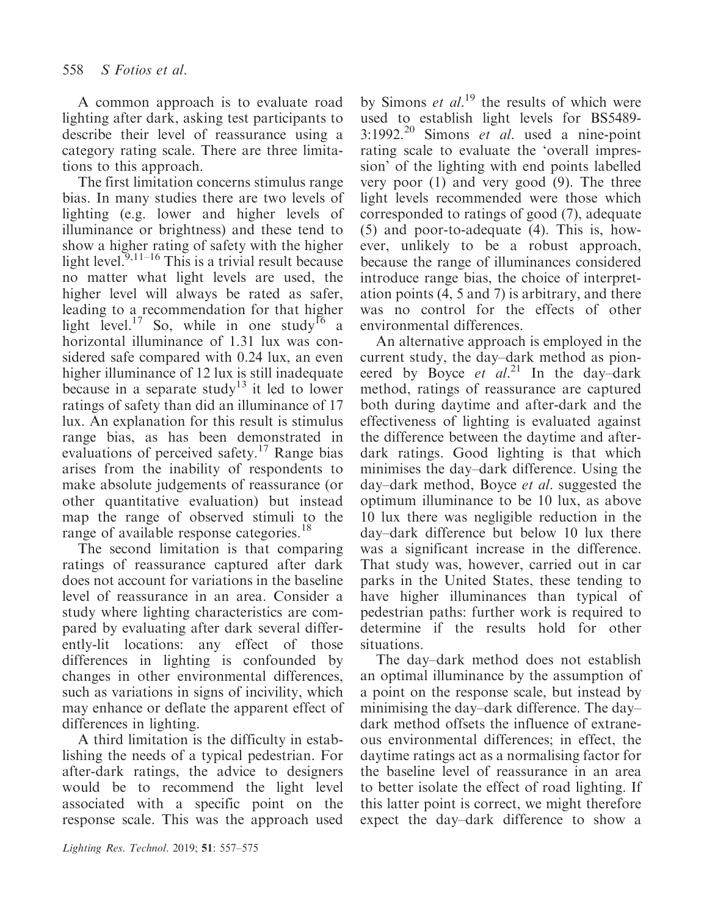A common approach is to evaluate road lighting after dark, asking test participants to describe their level of reassurance using a category rating scale. There are three limitations to this approach.

The first limitation concerns stimulus range bias. In many studies there are two levels of lighting (e.g. lower and higher levels of illuminance or brightness) and these tend to show a higher rating of safety with the higher light level.<sup>9,11–16</sup> This is a trivial result because no matter what light levels are used, the higher level will always be rated as safer, leading to a recommendation for that higher light level.<sup>17</sup> So, while in one study<sup>16</sup> a horizontal illuminance of 1.31 lux was considered safe compared with 0.24 lux, an even higher illuminance of 12 lux is still inadequate because in a separate study<sup>13</sup> it led to lower ratings of safety than did an illuminance of 17 lux. An explanation for this result is stimulus range bias, as has been demonstrated in evaluations of perceived safety.<sup>17</sup> Range bias arises from the inability of respondents to make absolute judgements of reassurance (or other quantitative evaluation) but instead map the range of observed stimuli to the range of available response categories.<sup>18</sup>

The second limitation is that comparing ratings of reassurance captured after dark does not account for variations in the baseline level of reassurance in an area. Consider a study where lighting characteristics are compared by evaluating after dark several differently-lit locations: any effect of those differences in lighting is confounded by changes in other environmental differences, such as variations in signs of incivility, which may enhance or deflate the apparent effect of differences in lighting.

A third limitation is the difficulty in establishing the needs of a typical pedestrian. For after-dark ratings, the advice to designers would be to recommend the light level associated with a specific point on the response scale. This was the approach used

by Simons et  $al$ .<sup>19</sup> the results of which were used to establish light levels for BS5489- 3:1992.<sup>20</sup> Simons *et al.* used a nine-point rating scale to evaluate the 'overall impression' of the lighting with end points labelled very poor (1) and very good (9). The three light levels recommended were those which corresponded to ratings of good (7), adequate (5) and poor-to-adequate (4). This is, however, unlikely to be a robust approach, because the range of illuminances considered introduce range bias, the choice of interpretation points (4, 5 and 7) is arbitrary, and there was no control for the effects of other environmental differences.

An alternative approach is employed in the current study, the day–dark method as pioneered by Boyce et  $al^{21}$ . In the day-dark method, ratings of reassurance are captured both during daytime and after-dark and the effectiveness of lighting is evaluated against the difference between the daytime and afterdark ratings. Good lighting is that which minimises the day–dark difference. Using the day–dark method, Boyce et al. suggested the optimum illuminance to be 10 lux, as above 10 lux there was negligible reduction in the day–dark difference but below 10 lux there was a significant increase in the difference. That study was, however, carried out in car parks in the United States, these tending to have higher illuminances than typical of pedestrian paths: further work is required to determine if the results hold for other situations.

The day–dark method does not establish an optimal illuminance by the assumption of a point on the response scale, but instead by minimising the day–dark difference. The day– dark method offsets the influence of extraneous environmental differences; in effect, the daytime ratings act as a normalising factor for the baseline level of reassurance in an area to better isolate the effect of road lighting. If this latter point is correct, we might therefore expect the day–dark difference to show a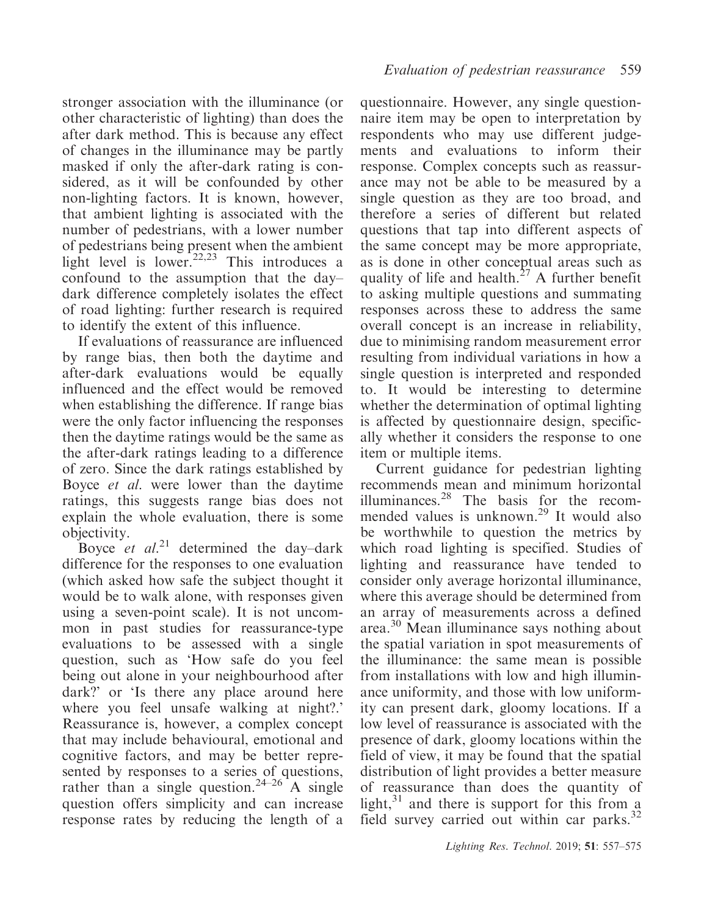stronger association with the illuminance (or other characteristic of lighting) than does the after dark method. This is because any effect of changes in the illuminance may be partly masked if only the after-dark rating is considered, as it will be confounded by other non-lighting factors. It is known, however, that ambient lighting is associated with the number of pedestrians, with a lower number of pedestrians being present when the ambient light level is lower.<sup>22,23</sup> This introduces a confound to the assumption that the day– dark difference completely isolates the effect of road lighting: further research is required to identify the extent of this influence.

If evaluations of reassurance are influenced by range bias, then both the daytime and after-dark evaluations would be equally influenced and the effect would be removed when establishing the difference. If range bias were the only factor influencing the responses then the daytime ratings would be the same as the after-dark ratings leading to a difference of zero. Since the dark ratings established by Boyce *et al.* were lower than the daytime ratings, this suggests range bias does not explain the whole evaluation, there is some objectivity.

Boyce  $et$  al.<sup>21</sup> determined the day-dark difference for the responses to one evaluation (which asked how safe the subject thought it would be to walk alone, with responses given using a seven-point scale). It is not uncommon in past studies for reassurance-type evaluations to be assessed with a single question, such as 'How safe do you feel being out alone in your neighbourhood after dark?' or 'Is there any place around here where you feel unsafe walking at night?.' Reassurance is, however, a complex concept that may include behavioural, emotional and cognitive factors, and may be better represented by responses to a series of questions, rather than a single question.<sup>24–26</sup> A single question offers simplicity and can increase response rates by reducing the length of a questionnaire. However, any single questionnaire item may be open to interpretation by respondents who may use different judgements and evaluations to inform their response. Complex concepts such as reassurance may not be able to be measured by a single question as they are too broad, and therefore a series of different but related questions that tap into different aspects of the same concept may be more appropriate, as is done in other conceptual areas such as quality of life and health. $27$  A further benefit to asking multiple questions and summating responses across these to address the same overall concept is an increase in reliability, due to minimising random measurement error resulting from individual variations in how a single question is interpreted and responded to. It would be interesting to determine whether the determination of optimal lighting is affected by questionnaire design, specifically whether it considers the response to one item or multiple items.

Current guidance for pedestrian lighting recommends mean and minimum horizontal illuminances.<sup>28</sup> The basis for the recommended values is unknown.<sup>29</sup> It would also be worthwhile to question the metrics by which road lighting is specified. Studies of lighting and reassurance have tended to consider only average horizontal illuminance, where this average should be determined from an array of measurements across a defined area.<sup>30</sup> Mean illuminance says nothing about the spatial variation in spot measurements of the illuminance: the same mean is possible from installations with low and high illuminance uniformity, and those with low uniformity can present dark, gloomy locations. If a low level of reassurance is associated with the presence of dark, gloomy locations within the field of view, it may be found that the spatial distribution of light provides a better measure of reassurance than does the quantity of light, $31$  and there is support for this from a field survey carried out within car parks. $32$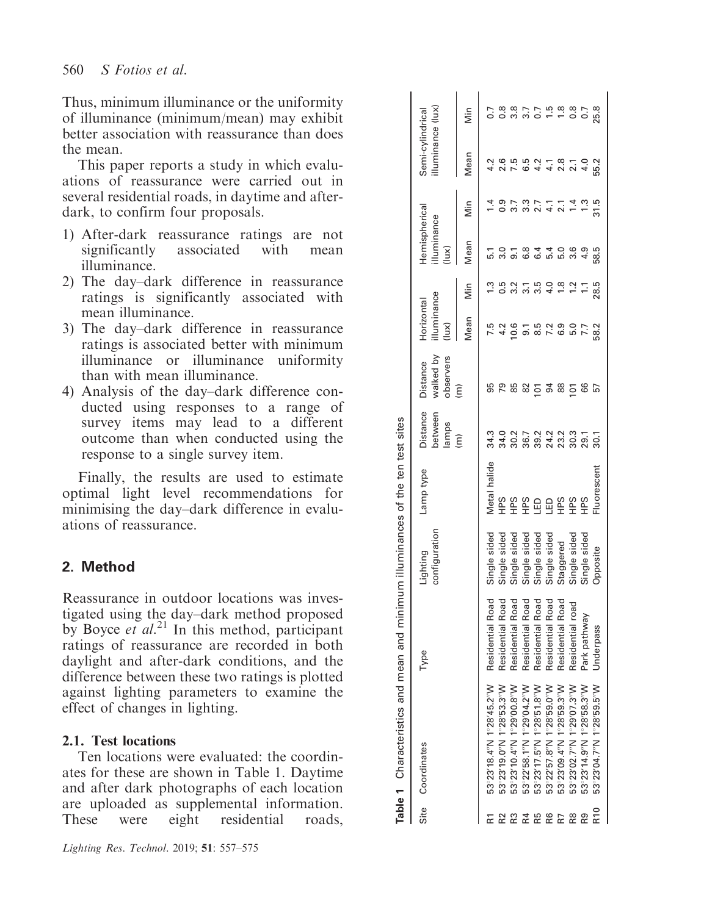Thus, minimum illuminance or the uniformity of illuminance (minimum/mean) may exhibit better association with reassurance than does the mean.

This paper reports a study in which evaluations of reassurance were carried out in several residential roads, in daytime and afterdark, to confirm four proposals.

- 1) After-dark reassurance ratings are not significantly associated with mean illuminance.
- 2) The day–dark difference in reassurance ratings is significantly associated with mean illuminance.
- 3) The day–dark difference in reassurance ratings is associated better with minimum illuminance or illuminance uniformity than with mean illuminance.
- 4) Analysis of the day–dark difference conducted using responses to a range of survey items may lead to a different outcome than when conducted using the response to a single survey item.

Finally, the results are used to estimate optimal light level recommendations for minimising the day–dark difference in evaluations of reassurance.

# 2. Method

Reassurance in outdoor locations was investigated using the day–dark method proposed by Boyce et  $al$ <sup>21</sup> In this method, participant ratings of reassurance are recorded in both daylight and after-dark conditions, and the difference between these two ratings is plotted against lighting parameters to examine the effect of changes in lighting.

### 2.1. Test locations

Ten locations were evaluated: the coordinates for these are shown in Table 1. Daytime and after dark photographs of each location are uploaded as supplemental information. These were eight residential roads,

|                         |                            | Table 1 Characteristics and mean and minimum illuminances of the ten test sites |                           |              |                                     |                                    |                                   |               |                                        |               |                                       |                  |
|-------------------------|----------------------------|---------------------------------------------------------------------------------|---------------------------|--------------|-------------------------------------|------------------------------------|-----------------------------------|---------------|----------------------------------------|---------------|---------------------------------------|------------------|
| Site                    | Coordinates                | Type                                                                            | configuration<br>Lighting | Lamp type    | <b>Distance</b><br>between<br>lamps | walked by<br>observers<br>Distance | illuminance<br>Horizontal<br>(lux |               | Hemispherical<br>illuminance<br>$\lim$ |               | illuminance (lux)<br>Semi-cylindrical |                  |
|                         |                            |                                                                                 |                           |              | $\widehat{\epsilon}$                | $\widehat{\epsilon}$               | Mean                              | Nin           | <b>Mean</b>                            | Min           | Mean                                  | Min              |
|                         | 53°23'18.4"N 1°28'45.2"W   | <b>Residential Road</b>                                                         | Single sided              | Metal halide | 34.3                                |                                    |                                   |               |                                        |               |                                       |                  |
|                         | 53°23'19.0" N 1°28'53.3"W  | <b>Residential Road</b>                                                         | Single sided              | S<br>HH      | 34.0                                |                                    |                                   | 0.5           |                                        |               |                                       |                  |
| R3                      | 53°23'10.4" N 1°29'00.8" W | <b>Residential Road</b>                                                         | Single sided              | 오<br>오       | 30.2                                |                                    | 10.6                              |               |                                        |               |                                       |                  |
| R4                      | 53°22′58.1″N 1°29′04.2″W   | Residential Road                                                                | Single sided              | 오<br>오       | 36.7                                | 82                                 | $\overline{9}$ .                  |               | 6.8                                    |               |                                       |                  |
| R5                      | 53°23'17.5"N 1°28'51.8"W   | <b>Residential Road</b>                                                         | Single sided              | G            | 39.2                                | $\overline{0}$                     | 8.5                               | 3.5           | 6.4                                    | 2.7           | 4.2                                   |                  |
| R6                      | 53°22'57.8" N 1°28'59.0"W  | <b>Residential Road</b>                                                         | Single sided              | G            | 24.2                                | 54                                 | 7.2                               |               | 5.4                                    |               | 4.1                                   |                  |
| R7                      | 53°23'09.4" N 1°28'59.3" W | <b>Residential Road</b>                                                         | Staggered                 | 오<br>오       | 23.2                                | 88                                 | 6.9                               | $\frac{8}{1}$ | 5.0                                    | 2.1           | 2.8                                   | $\frac{8}{1}$    |
| $\mathsf R^{\mathsf G}$ | 53°23′02.7"N 1°29′07.3"W   | Residential road                                                                | Single sided              | 9<br>全       | 30.3                                | $\overline{5}$                     | 5.0                               |               |                                        | 1.4           | 2.1                                   | $0.\overline{8}$ |
| R9                      | 53°23'14.9"N 1°28'58.3"W   | Park pathway                                                                    | Single sided              | 9<br>全       | 29.1                                | 89                                 | 7.7                               |               |                                        | $\frac{3}{2}$ |                                       |                  |
| R <sub>10</sub>         | 53°23'04.7"N 1°28'59.5"W   | Underpass                                                                       | Opposite                  | Fluorescent  | $\overline{5}$                      |                                    | 58.2                              | 28.5          | 58.5                                   | 31.5          | 55.2                                  | 25.8             |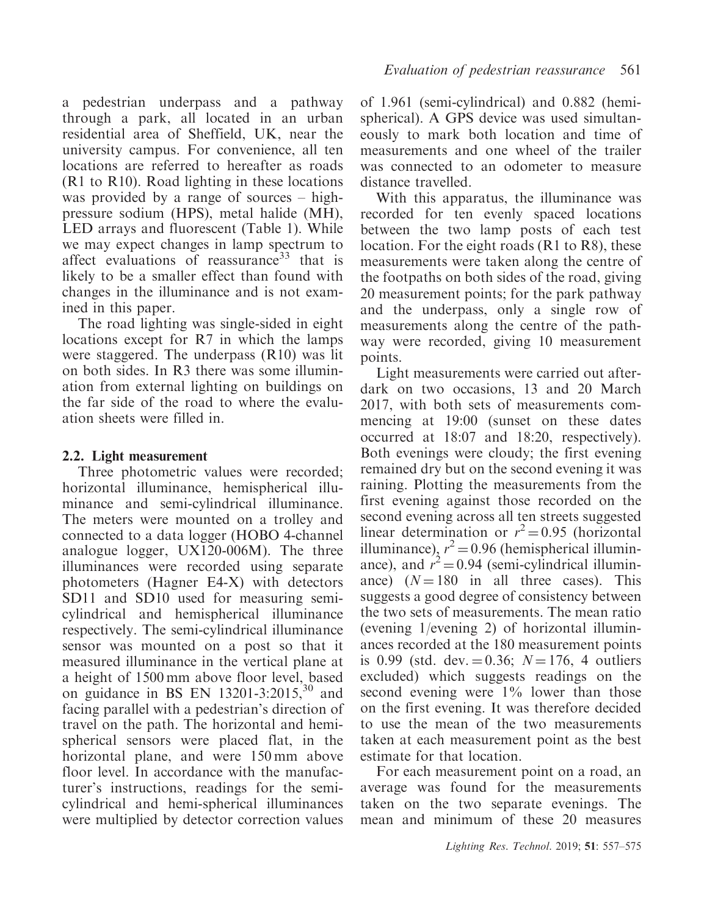a pedestrian underpass and a pathway through a park, all located in an urban residential area of Sheffield, UK, near the university campus. For convenience, all ten locations are referred to hereafter as roads (R1 to R10). Road lighting in these locations was provided by a range of sources – highpressure sodium (HPS), metal halide (MH), LED arrays and fluorescent (Table 1). While we may expect changes in lamp spectrum to affect evaluations of reassurance<sup>33</sup> that is likely to be a smaller effect than found with changes in the illuminance and is not examined in this paper.

The road lighting was single-sided in eight locations except for R7 in which the lamps were staggered. The underpass (R10) was lit on both sides. In R3 there was some illumination from external lighting on buildings on the far side of the road to where the evaluation sheets were filled in.

### 2.2. Light measurement

Three photometric values were recorded; horizontal illuminance, hemispherical illuminance and semi-cylindrical illuminance. The meters were mounted on a trolley and connected to a data logger (HOBO 4-channel analogue logger, UX120-006M). The three illuminances were recorded using separate photometers (Hagner E4-X) with detectors SD11 and SD10 used for measuring semicylindrical and hemispherical illuminance respectively. The semi-cylindrical illuminance sensor was mounted on a post so that it measured illuminance in the vertical plane at a height of 1500 mm above floor level, based on guidance in BS EN  $13201-3:2015$ <sup>30</sup> and facing parallel with a pedestrian's direction of travel on the path. The horizontal and hemispherical sensors were placed flat, in the horizontal plane, and were 150 mm above floor level. In accordance with the manufacturer's instructions, readings for the semicylindrical and hemi-spherical illuminances were multiplied by detector correction values

of 1.961 (semi-cylindrical) and 0.882 (hemispherical). A GPS device was used simultaneously to mark both location and time of measurements and one wheel of the trailer was connected to an odometer to measure distance travelled.

With this apparatus, the illuminance was recorded for ten evenly spaced locations between the two lamp posts of each test location. For the eight roads (R1 to R8), these measurements were taken along the centre of the footpaths on both sides of the road, giving 20 measurement points; for the park pathway and the underpass, only a single row of measurements along the centre of the pathway were recorded, giving 10 measurement points.

Light measurements were carried out afterdark on two occasions, 13 and 20 March 2017, with both sets of measurements commencing at 19:00 (sunset on these dates occurred at 18:07 and 18:20, respectively). Both evenings were cloudy; the first evening remained dry but on the second evening it was raining. Plotting the measurements from the first evening against those recorded on the second evening across all ten streets suggested linear determination or  $r^2 = 0.95$  (horizontal illuminance),  $r^2 = 0.96$  (hemispherical illuminance), and  $r^2 = 0.94$  (semi-cylindrical illuminance)  $(N = 180$  in all three cases). This suggests a good degree of consistency between the two sets of measurements. The mean ratio (evening 1/evening 2) of horizontal illuminances recorded at the 180 measurement points is 0.99 (std. dev.  $= 0.36$ ;  $N = 176$ , 4 outliers excluded) which suggests readings on the second evening were  $1\%$  lower than those on the first evening. It was therefore decided to use the mean of the two measurements taken at each measurement point as the best estimate for that location.

For each measurement point on a road, an average was found for the measurements taken on the two separate evenings. The mean and minimum of these 20 measures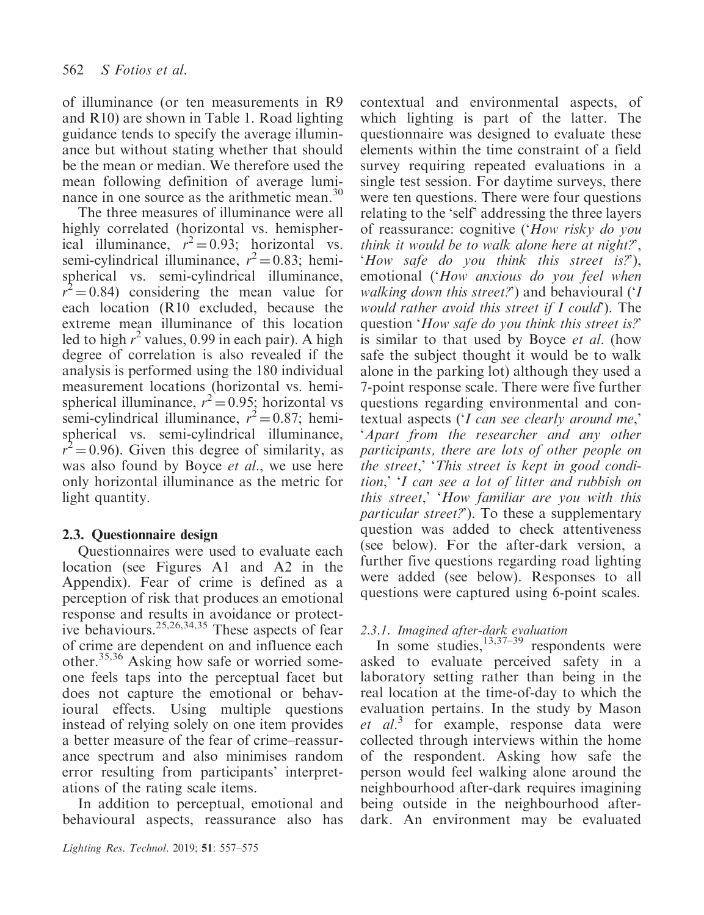of illuminance (or ten measurements in R9 and R10) are shown in Table 1. Road lighting guidance tends to specify the average illuminance but without stating whether that should be the mean or median. We therefore used the mean following definition of average luminance in one source as the arithmetic mean.<sup>30</sup>

The three measures of illuminance were all highly correlated (horizontal vs. hemispherical illuminance,  $r^2 = 0.93$ ; horizontal vs. semi-cylindrical illuminance,  $r^2 = 0.83$ ; hemispherical vs. semi-cylindrical illuminance,  $r^2 = 0.84$ ) considering the mean value for each location (R10 excluded, because the extreme mean illuminance of this location led to high  $r^2$  values, 0.99 in each pair). A high degree of correlation is also revealed if the analysis is performed using the 180 individual measurement locations (horizontal vs. hemispherical illuminance,  $r^2 = 0.95$ ; horizontal vs semi-cylindrical illuminance,  $r^2 = 0.87$ ; hemispherical vs. semi-cylindrical illuminance,  $r^2$  = 0.96). Given this degree of similarity, as was also found by Boyce *et al.*, we use here only horizontal illuminance as the metric for light quantity.

### 2.3. Questionnaire design

Questionnaires were used to evaluate each location (see Figures A1 and A2 in the Appendix). Fear of crime is defined as a perception of risk that produces an emotional response and results in avoidance or protective behaviours.25,26,34,35 These aspects of fear of crime are dependent on and influence each other.35,36 Asking how safe or worried someone feels taps into the perceptual facet but does not capture the emotional or behavioural effects. Using multiple questions instead of relying solely on one item provides a better measure of the fear of crime–reassurance spectrum and also minimises random error resulting from participants' interpretations of the rating scale items.

In addition to perceptual, emotional and behavioural aspects, reassurance also has contextual and environmental aspects, of which lighting is part of the latter. The questionnaire was designed to evaluate these elements within the time constraint of a field survey requiring repeated evaluations in a single test session. For daytime surveys, there were ten questions. There were four questions relating to the 'self' addressing the three layers of reassurance: cognitive *('How risky do you* think it would be to walk alone here at night?', 'How safe do you think this street is?'), emotional ('How anxious do you feel when walking down this street?") and behavioural ('I would rather avoid this street if I could'). The question 'How safe do you think this street is?' is similar to that used by Boyce *et al.* (how safe the subject thought it would be to walk alone in the parking lot) although they used a 7-point response scale. There were five further questions regarding environmental and contextual aspects ('I can see clearly around me,' 'Apart from the researcher and any other participants, there are lots of other people on the street,' 'This street is kept in good condition,' 'I can see a lot of litter and rubbish on this street,' 'How familiar are you with this particular street?'). To these a supplementary question was added to check attentiveness (see below). For the after-dark version, a further five questions regarding road lighting were added (see below). Responses to all questions were captured using 6-point scales.

### 2.3.1. Imagined after-dark evaluation

In some studies,  $13,37-39$  respondents were asked to evaluate perceived safety in a laboratory setting rather than being in the real location at the time-of-day to which the evaluation pertains. In the study by Mason et al.<sup>3</sup> for example, response data were collected through interviews within the home of the respondent. Asking how safe the person would feel walking alone around the neighbourhood after-dark requires imagining being outside in the neighbourhood afterdark. An environment may be evaluated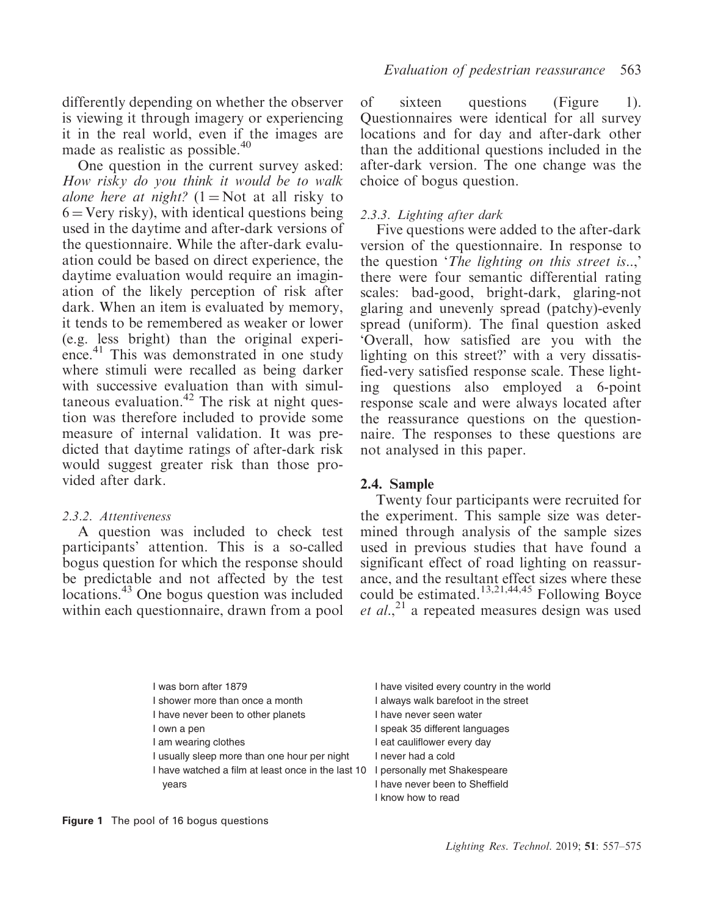differently depending on whether the observer is viewing it through imagery or experiencing it in the real world, even if the images are made as realistic as possible.<sup>40</sup>

One question in the current survey asked: How risky do you think it would be to walk alone here at night?  $(1 = Not at all risky to$  $6 = \text{Very}$  risky), with identical questions being used in the daytime and after-dark versions of the questionnaire. While the after-dark evaluation could be based on direct experience, the daytime evaluation would require an imagination of the likely perception of risk after dark. When an item is evaluated by memory, it tends to be remembered as weaker or lower (e.g. less bright) than the original experience.<sup>41</sup> This was demonstrated in one study where stimuli were recalled as being darker with successive evaluation than with simultaneous evaluation. $42$  The risk at night question was therefore included to provide some measure of internal validation. It was predicted that daytime ratings of after-dark risk would suggest greater risk than those provided after dark.

#### 2.3.2. Attentiveness

A question was included to check test participants' attention. This is a so-called bogus question for which the response should be predictable and not affected by the test locations.<sup>43</sup> One bogus question was included within each questionnaire, drawn from a pool

of sixteen questions (Figure 1). Questionnaires were identical for all survey locations and for day and after-dark other than the additional questions included in the after-dark version. The one change was the choice of bogus question.

#### 2.3.3. Lighting after dark

Five questions were added to the after-dark version of the questionnaire. In response to the question 'The lighting on this street is..,' there were four semantic differential rating scales: bad-good, bright-dark, glaring-not glaring and unevenly spread (patchy)-evenly spread (uniform). The final question asked 'Overall, how satisfied are you with the lighting on this street?' with a very dissatisfied-very satisfied response scale. These lighting questions also employed a 6-point response scale and were always located after the reassurance questions on the questionnaire. The responses to these questions are not analysed in this paper.

#### 2.4. Sample

Twenty four participants were recruited for the experiment. This sample size was determined through analysis of the sample sizes used in previous studies that have found a significant effect of road lighting on reassurance, and the resultant effect sizes where these could be estimated.<sup>13,21,44,45</sup> Following Boyce et  $al$ ,<sup>21</sup> a repeated measures design was used

| I was born after 1879                              | I have visited every country in the world |
|----------------------------------------------------|-------------------------------------------|
| I shower more than once a month                    | I always walk barefoot in the street      |
| I have never been to other planets                 | I have never seen water                   |
| I own a pen                                        | I speak 35 different languages            |
| I am wearing clothes                               | I eat cauliflower every day               |
| I usually sleep more than one hour per night       | I never had a cold                        |
| I have watched a film at least once in the last 10 | I personally met Shakespeare              |
| vears                                              | I have never been to Sheffield            |
|                                                    | I know how to read                        |

Figure 1 The pool of 16 bogus questions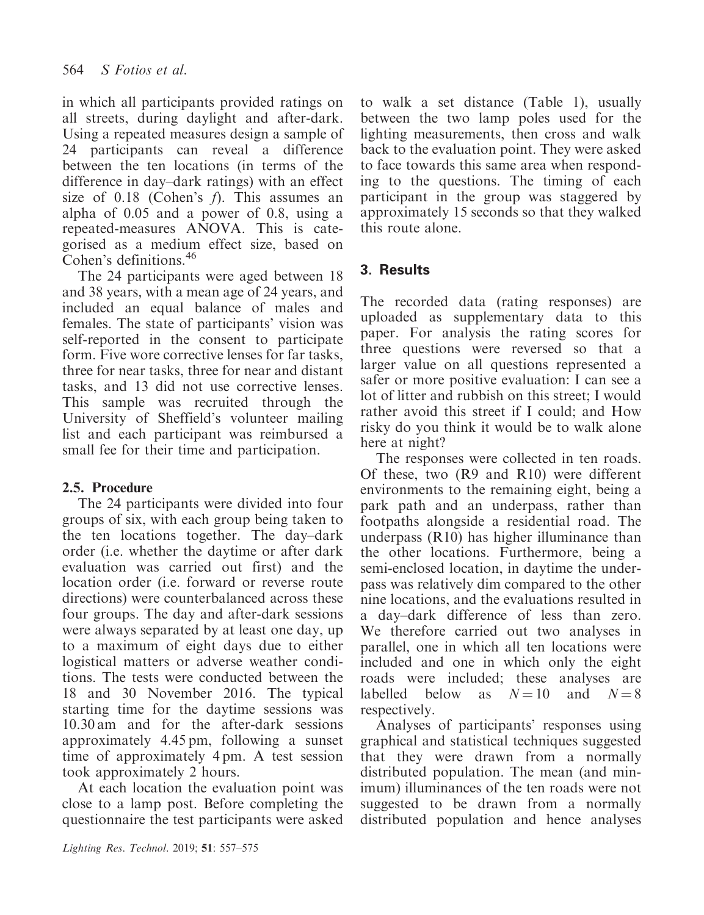in which all participants provided ratings on all streets, during daylight and after-dark. Using a repeated measures design a sample of 24 participants can reveal a difference between the ten locations (in terms of the difference in day–dark ratings) with an effect size of 0.18 (Cohen's f). This assumes an alpha of 0.05 and a power of 0.8, using a repeated-measures ANOVA. This is categorised as a medium effect size, based on Cohen's definitions.<sup>46</sup>

The 24 participants were aged between 18 and 38 years, with a mean age of 24 years, and included an equal balance of males and females. The state of participants' vision was self-reported in the consent to participate form. Five wore corrective lenses for far tasks, three for near tasks, three for near and distant tasks, and 13 did not use corrective lenses. This sample was recruited through the University of Sheffield's volunteer mailing list and each participant was reimbursed a small fee for their time and participation.

### 2.5. Procedure

The 24 participants were divided into four groups of six, with each group being taken to the ten locations together. The day–dark order (i.e. whether the daytime or after dark evaluation was carried out first) and the location order (i.e. forward or reverse route directions) were counterbalanced across these four groups. The day and after-dark sessions were always separated by at least one day, up to a maximum of eight days due to either logistical matters or adverse weather conditions. The tests were conducted between the 18 and 30 November 2016. The typical starting time for the daytime sessions was 10.30 am and for the after-dark sessions approximately 4.45 pm, following a sunset time of approximately 4 pm. A test session took approximately 2 hours.

At each location the evaluation point was close to a lamp post. Before completing the questionnaire the test participants were asked to walk a set distance (Table 1), usually between the two lamp poles used for the lighting measurements, then cross and walk back to the evaluation point. They were asked to face towards this same area when responding to the questions. The timing of each participant in the group was staggered by approximately 15 seconds so that they walked this route alone.

### 3. Results

The recorded data (rating responses) are uploaded as supplementary data to this paper. For analysis the rating scores for three questions were reversed so that a larger value on all questions represented a safer or more positive evaluation: I can see a lot of litter and rubbish on this street; I would rather avoid this street if I could; and How risky do you think it would be to walk alone here at night?

The responses were collected in ten roads. Of these, two (R9 and R10) were different environments to the remaining eight, being a park path and an underpass, rather than footpaths alongside a residential road. The underpass (R10) has higher illuminance than the other locations. Furthermore, being a semi-enclosed location, in daytime the underpass was relatively dim compared to the other nine locations, and the evaluations resulted in a day–dark difference of less than zero. We therefore carried out two analyses in parallel, one in which all ten locations were included and one in which only the eight roads were included; these analyses are labelled below as  $N = 10$  and  $N = 8$ respectively.

Analyses of participants' responses using graphical and statistical techniques suggested that they were drawn from a normally distributed population. The mean (and minimum) illuminances of the ten roads were not suggested to be drawn from a normally distributed population and hence analyses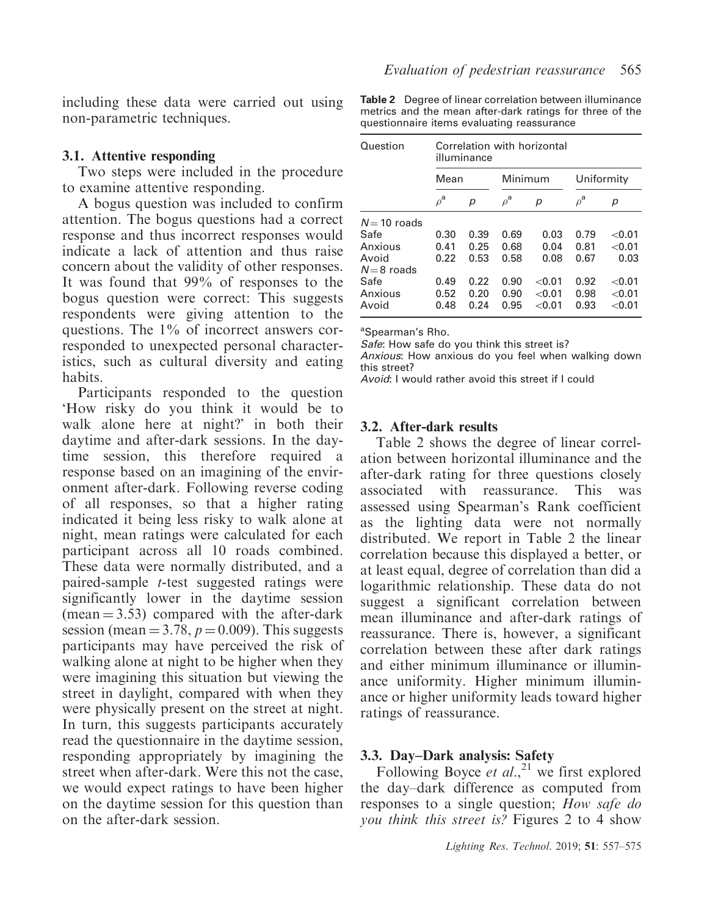including these data were carried out using non-parametric techniques.

#### 3.1. Attentive responding

Two steps were included in the procedure to examine attentive responding.

A bogus question was included to confirm attention. The bogus questions had a correct response and thus incorrect responses would indicate a lack of attention and thus raise concern about the validity of other responses. It was found that 99% of responses to the bogus question were correct: This suggests respondents were giving attention to the questions. The 1% of incorrect answers corresponded to unexpected personal characteristics, such as cultural diversity and eating habits.

Participants responded to the question 'How risky do you think it would be to walk alone here at night?' in both their daytime and after-dark sessions. In the daytime session, this therefore required a response based on an imagining of the environment after-dark. Following reverse coding of all responses, so that a higher rating indicated it being less risky to walk alone at night, mean ratings were calculated for each participant across all 10 roads combined. These data were normally distributed, and a paired-sample t-test suggested ratings were significantly lower in the daytime session  $(mean = 3.53)$  compared with the after-dark session (mean  $= 3.78$ ,  $p = 0.009$ ). This suggests participants may have perceived the risk of walking alone at night to be higher when they were imagining this situation but viewing the street in daylight, compared with when they were physically present on the street at night. In turn, this suggests participants accurately read the questionnaire in the daytime session, responding appropriately by imagining the street when after-dark. Were this not the case, we would expect ratings to have been higher on the daytime session for this question than on the after-dark session.

Table 2 Degree of linear correlation between illuminance metrics and the mean after-dark ratings for three of the questionnaire items evaluating reassurance

| Question       |                     | illuminance |                     | Correlation with horizontal |                     |        |
|----------------|---------------------|-------------|---------------------|-----------------------------|---------------------|--------|
|                | Mean                |             | Minimum             |                             | Uniformity          |        |
|                | $\rho^{\mathsf{a}}$ | р           | $\rho^{\mathsf{a}}$ | р                           | $\rho^{\mathsf{a}}$ | р      |
| $N = 10$ roads |                     |             |                     |                             |                     |        |
| Safe           | 0.30                | 0.39        | 0.69                | 0.03                        | 0.79                | < 0.01 |
| Anxious        | 0.41                | 0.25        | 0.68                | 0.04                        | 0.81                | < 0.01 |
| Avoid          | 0.22                | 0.53        | 0.58                | 0.08                        | 0.67                | 0.03   |
| $N=8$ roads    |                     |             |                     |                             |                     |        |
| Safe           | 0.49                | 0.22        | 0.90                | < 0.01                      | 0.92                | < 0.01 |
| Anxious        | 0.52                | 0.20        | 0.90                | < 0.01                      | 0.98                | < 0.01 |
| Avoid          | 0.48                | 0.24        | 0.95                | < 0.01                      | 0.93                | < 0.01 |

a Spearman's Rho.

Safe: How safe do you think this street is?

Anxious: How anxious do you feel when walking down this street?

Avoid: I would rather avoid this street if I could

#### 3.2. After-dark results

Table 2 shows the degree of linear correlation between horizontal illuminance and the after-dark rating for three questions closely associated with reassurance. This was assessed using Spearman's Rank coefficient as the lighting data were not normally distributed. We report in Table 2 the linear correlation because this displayed a better, or at least equal, degree of correlation than did a logarithmic relationship. These data do not suggest a significant correlation between mean illuminance and after-dark ratings of reassurance. There is, however, a significant correlation between these after dark ratings and either minimum illuminance or illuminance uniformity. Higher minimum illuminance or higher uniformity leads toward higher ratings of reassurance.

#### 3.3. Day–Dark analysis: Safety

Following Boyce et  $al$ ,<sup>21</sup> we first explored the day–dark difference as computed from responses to a single question; How safe do you think this street is? Figures 2 to 4 show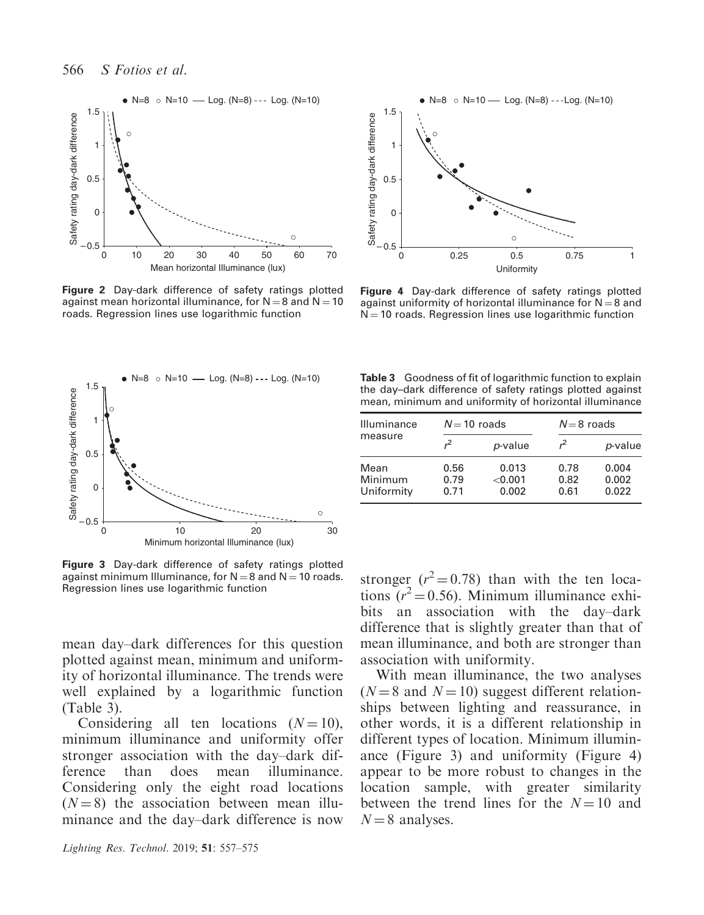

Figure 2 Day-dark difference of safety ratings plotted against mean horizontal illuminance, for  $N = 8$  and  $N = 10$ roads. Regression lines use logarithmic function



Figure 3 Day-dark difference of safety ratings plotted against minimum Illuminance, for  $N = 8$  and  $N = 10$  roads. Regression lines use logarithmic function

mean day–dark differences for this question plotted against mean, minimum and uniformity of horizontal illuminance. The trends were well explained by a logarithmic function (Table 3).

Considering all ten locations  $(N = 10)$ , minimum illuminance and uniformity offer stronger association with the day–dark difference than does mean illuminance. Considering only the eight road locations  $(N = 8)$  the association between mean illuminance and the day–dark difference is now





Figure 4 Day-dark difference of safety ratings plotted against uniformity of horizontal illuminance for  $N = 8$  and  $N = 10$  roads. Regression lines use logarithmic function

Table 3 Goodness of fit of logarithmic function to explain the day–dark difference of safety ratings plotted against mean, minimum and uniformity of horizontal illuminance

| Illuminance                   | $N = 10$ roads       |                             | $N=8$ roads          |                         |
|-------------------------------|----------------------|-----------------------------|----------------------|-------------------------|
| measure                       |                      | p-value                     |                      | p-value                 |
| Mean<br>Minimum<br>Uniformity | 0.56<br>0.79<br>0.71 | 0.013<br>$<$ 0.001<br>0.002 | 0.78<br>0.82<br>0.61 | 0.004<br>0.002<br>0.022 |

stronger ( $r^2 = 0.78$ ) than with the ten locations  $(r^2 = 0.56)$ . Minimum illuminance exhibits an association with the day–dark difference that is slightly greater than that of mean illuminance, and both are stronger than association with uniformity.

With mean illuminance, the two analyses  $(N = 8$  and  $N = 10$ ) suggest different relationships between lighting and reassurance, in other words, it is a different relationship in different types of location. Minimum illuminance (Figure 3) and uniformity (Figure 4) appear to be more robust to changes in the location sample, with greater similarity between the trend lines for the  $N = 10$  and  $N = 8$  analyses.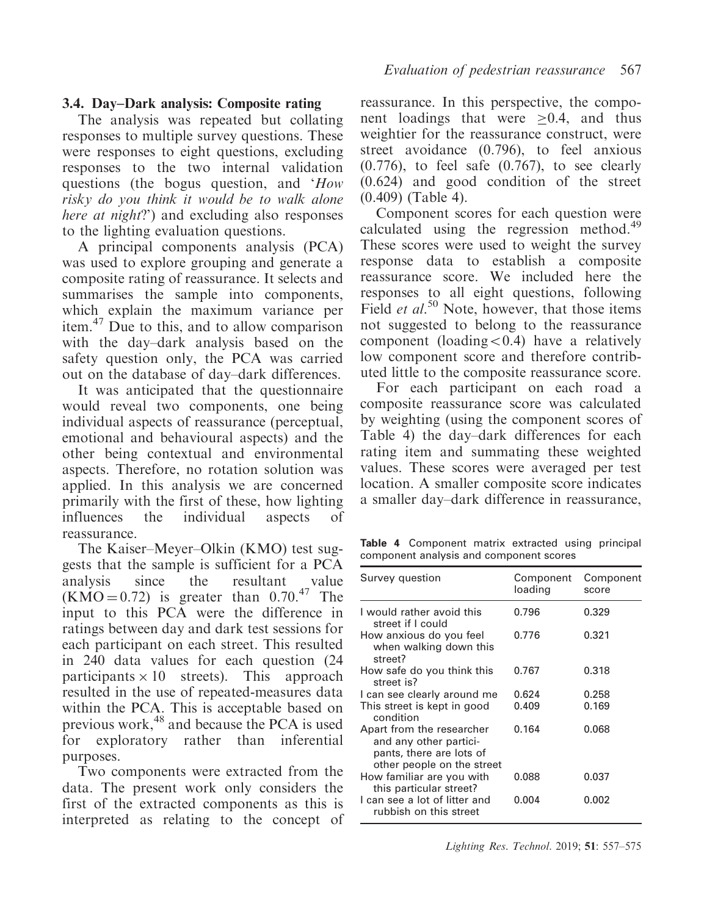### 3.4. Day–Dark analysis: Composite rating

The analysis was repeated but collating responses to multiple survey questions. These were responses to eight questions, excluding responses to the two internal validation questions (the bogus question, and 'How risky do you think it would be to walk alone here at night?') and excluding also responses to the lighting evaluation questions.

A principal components analysis (PCA) was used to explore grouping and generate a composite rating of reassurance. It selects and summarises the sample into components, which explain the maximum variance per item.<sup>47</sup> Due to this, and to allow comparison with the day–dark analysis based on the safety question only, the PCA was carried out on the database of day–dark differences.

It was anticipated that the questionnaire would reveal two components, one being individual aspects of reassurance (perceptual, emotional and behavioural aspects) and the other being contextual and environmental aspects. Therefore, no rotation solution was applied. In this analysis we are concerned primarily with the first of these, how lighting influences the individual aspects of reassurance.

The Kaiser–Meyer–Olkin (KMO) test suggests that the sample is sufficient for a PCA analysis since the resultant value  $(KMO = 0.72)$  is greater than 0.70.<sup>47</sup> The input to this PCA were the difference in ratings between day and dark test sessions for each participant on each street. This resulted in 240 data values for each question (24 participants  $\times$  10 streets). This approach resulted in the use of repeated-measures data within the PCA. This is acceptable based on previous work,<sup>48</sup> and because the PCA is used for exploratory rather than inferential purposes.

Two components were extracted from the data. The present work only considers the first of the extracted components as this is interpreted as relating to the concept of reassurance. In this perspective, the component loadings that were  $> 0.4$ , and thus weightier for the reassurance construct, were street avoidance (0.796), to feel anxious  $(0.776)$ , to feel safe  $(0.767)$ , to see clearly (0.624) and good condition of the street (0.409) (Table 4).

Component scores for each question were calculated using the regression method.<sup>49</sup> These scores were used to weight the survey response data to establish a composite reassurance score. We included here the responses to all eight questions, following Field et al.<sup>50</sup> Note, however, that those items not suggested to belong to the reassurance component (loading $< 0.4$ ) have a relatively low component score and therefore contributed little to the composite reassurance score.

For each participant on each road a composite reassurance score was calculated by weighting (using the component scores of Table 4) the day–dark differences for each rating item and summating these weighted values. These scores were averaged per test location. A smaller composite score indicates a smaller day–dark difference in reassurance,

Table 4 Component matrix extracted using principal component analysis and component scores

| Survey question                                                                                               | Component<br>loading | Component<br>score |
|---------------------------------------------------------------------------------------------------------------|----------------------|--------------------|
| I would rather avoid this<br>street if I could                                                                | 0.796                | 0.329              |
| How anxious do you feel<br>when walking down this<br>street?                                                  | 0.776                | 0.321              |
| How safe do you think this<br>street is?                                                                      | 0.767                | 0.318              |
| I can see clearly around me                                                                                   | 0.624                | 0.258              |
| This street is kept in good<br>condition                                                                      | 0.409                | 0.169              |
| Apart from the researcher<br>and any other partici-<br>pants, there are lots of<br>other people on the street | 0.164                | 0.068              |
| How familiar are you with<br>this particular street?                                                          | 0.088                | 0.037              |
| I can see a lot of litter and<br>rubbish on this street                                                       | 0.004                | 0.002              |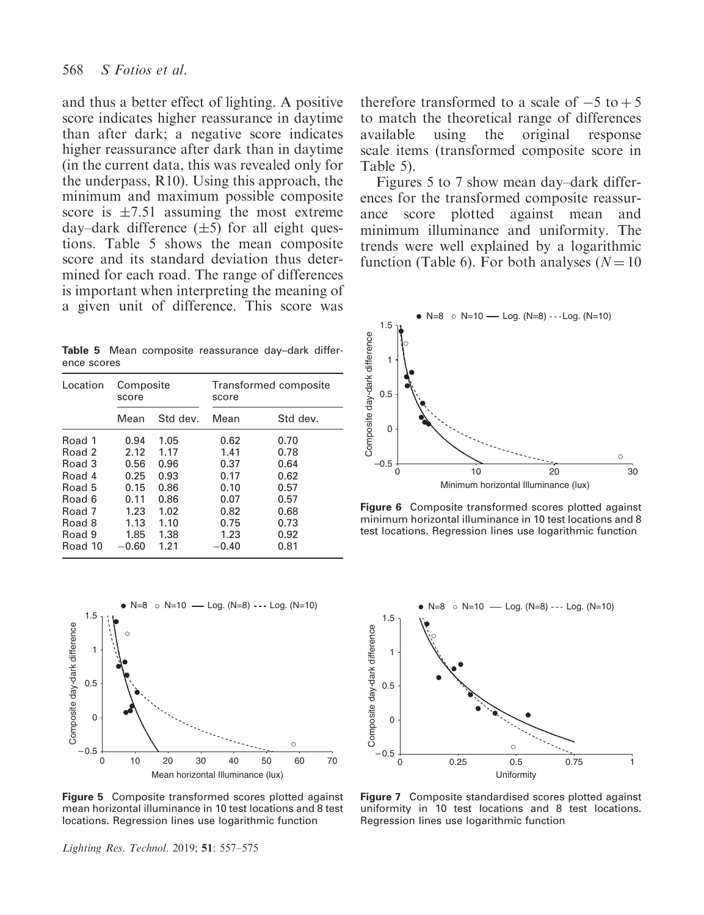and thus a better effect of lighting. A positive score indicates higher reassurance in daytime than after dark; a negative score indicates higher reassurance after dark than in daytime (in the current data, this was revealed only for the underpass, R10). Using this approach, the minimum and maximum possible composite score is  $\pm 7.51$  assuming the most extreme day–dark difference  $(\pm 5)$  for all eight questions. Table 5 shows the mean composite score and its standard deviation thus determined for each road. The range of differences is important when interpreting the meaning of a given unit of difference. This score was

Table 5 Mean composite reassurance day-dark difference scores

| Location | Composite<br>score |          | score   | Transformed composite |
|----------|--------------------|----------|---------|-----------------------|
|          | Mean               | Std dev. | Mean    | Std dev.              |
| Road 1   | 0.94               | 1.05     | 0.62    | 0.70                  |
| Road 2   | 2.12               | 1.17     | 1.41    | 0.78                  |
| Road 3   | 0.56               | 0.96     | 0.37    | 0.64                  |
| Road 4   | 0.25               | 0.93     | 0.17    | 0.62                  |
| Road 5   | 0.15               | 0.86     | 0.10    | 0.57                  |
| Road 6   | 0.11               | 0.86     | 0.07    | 0.57                  |
| Road 7   | 1.23               | 1.02     | 0.82    | 0.68                  |
| Road 8   | 1.13               | 1.10     | 0.75    | 0.73                  |
| Road 9   | 1.85               | 1.38     | 1.23    | 0.92                  |
| Road 10  | $-0.60$            | 1.21     | $-0.40$ | 0.81                  |



Figure 5 Composite transformed scores plotted against mean horizontal illuminance in 10 test locations and 8 test locations. Regression lines use logarithmic function

therefore transformed to a scale of  $-5$  to  $+5$ to match the theoretical range of differences available using the original response scale items (transformed composite score in Table 5).

Figures 5 to 7 show mean day–dark differences for the transformed composite reassurance score plotted against mean and minimum illuminance and uniformity. The trends were well explained by a logarithmic function (Table 6). For both analyses  $(N = 10)$ 



Figure 6 Composite transformed scores plotted against minimum horizontal illuminance in 10 test locations and 8 test locations. Regression lines use logarithmic function



Figure 7 Composite standardised scores plotted against uniformity in 10 test locations and 8 test locations. Regression lines use logarithmic function

Lighting Res. Technol. 2019; 51: 557–575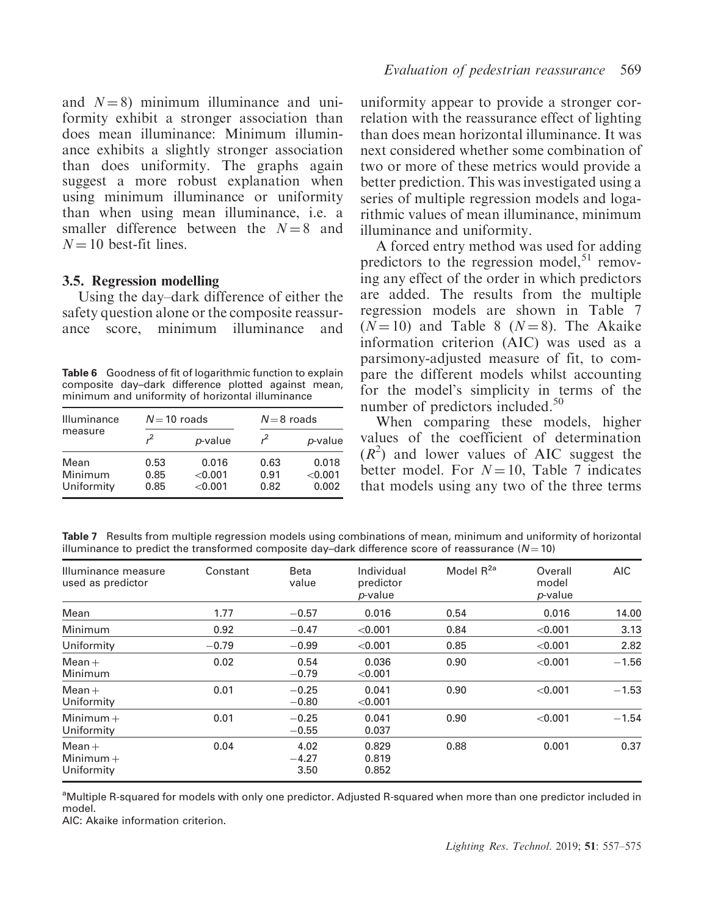and  $N = 8$ ) minimum illuminance and uniformity exhibit a stronger association than does mean illuminance: Minimum illuminance exhibits a slightly stronger association than does uniformity. The graphs again suggest a more robust explanation when using minimum illuminance or uniformity than when using mean illuminance, i.e. a smaller difference between the  $N = 8$  and  $N = 10$  best-fit lines.

#### 3.5. Regression modelling

Using the day–dark difference of either the safety question alone or the composite reassurance score, minimum illuminance and

Table 6 Goodness of fit of logarithmic function to explain composite day–dark difference plotted against mean, minimum and uniformity of horizontal illuminance

| Illuminance                   | $N = 10$ roads       |                               | $N=8$ roads          |                             |
|-------------------------------|----------------------|-------------------------------|----------------------|-----------------------------|
| measure                       | $r^2$                | p-value                       | تىم                  | p-value                     |
| Mean<br>Minimum<br>Uniformity | 0.53<br>0.85<br>0.85 | 0.016<br>< 0.001<br>$<$ 0.001 | 0.63<br>0.91<br>0.82 | 0.018<br>$<$ 0.001<br>0.002 |

uniformity appear to provide a stronger correlation with the reassurance effect of lighting than does mean horizontal illuminance. It was next considered whether some combination of two or more of these metrics would provide a better prediction. This was investigated using a series of multiple regression models and logarithmic values of mean illuminance, minimum illuminance and uniformity.

A forced entry method was used for adding predictors to the regression model,<sup>51</sup> removing any effect of the order in which predictors are added. The results from the multiple regression models are shown in Table 7  $(N = 10)$  and Table 8  $(N = 8)$ . The Akaike information criterion (AIC) was used as a parsimony-adjusted measure of fit, to compare the different models whilst accounting for the model's simplicity in terms of the number of predictors included.<sup>50</sup>

When comparing these models, higher values of the coefficient of determination  $(R<sup>2</sup>)$  and lower values of AIC suggest the better model. For  $N = 10$ , Table 7 indicates that models using any two of the three terms

Table 7 Results from multiple regression models using combinations of mean, minimum and uniformity of horizontal illuminance to predict the transformed composite day-dark difference score of reassurance  $(N = 10)$ 

| Illuminance measure<br>used as predictor | Constant | <b>Beta</b><br>value    | Individual<br>predictor<br>p-value | Model R <sup>2a</sup> | Overall<br>model<br>p-value | AIC     |
|------------------------------------------|----------|-------------------------|------------------------------------|-----------------------|-----------------------------|---------|
| Mean                                     | 1.77     | $-0.57$                 | 0.016                              | 0.54                  | 0.016                       | 14.00   |
| Minimum                                  | 0.92     | $-0.47$                 | < 0.001                            | 0.84                  | < 0.001                     | 3.13    |
| Uniformity                               | $-0.79$  | $-0.99$                 | < 0.001                            | 0.85                  | < 0.001                     | 2.82    |
| $Mean +$<br>Minimum                      | 0.02     | 0.54<br>$-0.79$         | 0.036<br>< 0.001                   | 0.90                  | < 0.001                     | $-1.56$ |
| $Mean +$<br>Uniformity                   | 0.01     | $-0.25$<br>$-0.80$      | 0.041<br>< 0.001                   | 0.90                  | < 0.001                     | $-1.53$ |
| Minimum $+$<br>Uniformity                | 0.01     | $-0.25$<br>$-0.55$      | 0.041<br>0.037                     | 0.90                  | < 0.001                     | $-1.54$ |
| $Mean +$<br>Minimum $+$<br>Uniformity    | 0.04     | 4.02<br>$-4.27$<br>3.50 | 0.829<br>0.819<br>0.852            | 0.88                  | 0.001                       | 0.37    |

<sup>a</sup>Multiple R-squared for models with only one predictor. Adjusted R-squared when more than one predictor included in model.

AIC: Akaike information criterion.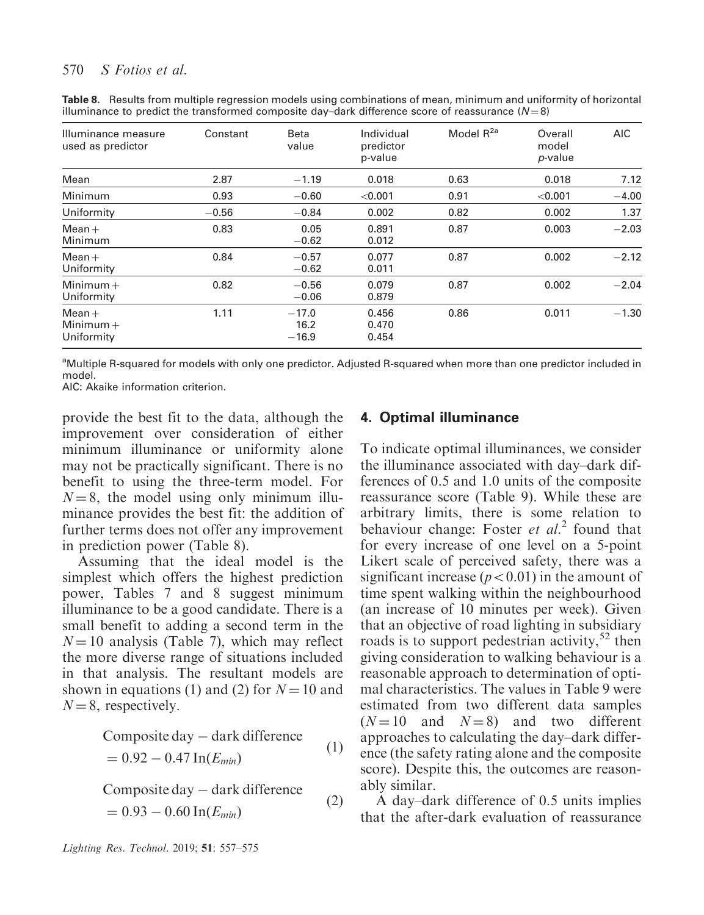#### 570 S Fotios et al.

| Illuminance measure<br>used as predictor | Constant | Beta<br>value              | Individual<br>predictor<br>p-value | Model R <sup>2a</sup> | Overall<br>model<br>p-value | <b>AIC</b> |
|------------------------------------------|----------|----------------------------|------------------------------------|-----------------------|-----------------------------|------------|
| Mean                                     | 2.87     | $-1.19$                    | 0.018                              | 0.63                  | 0.018                       | 7.12       |
| Minimum                                  | 0.93     | $-0.60$                    | < 0.001                            | 0.91                  | < 0.001                     | $-4.00$    |
| Uniformity                               | $-0.56$  | $-0.84$                    | 0.002                              | 0.82                  | 0.002                       | 1.37       |
| $Mean +$<br>Minimum                      | 0.83     | 0.05<br>$-0.62$            | 0.891<br>0.012                     | 0.87                  | 0.003                       | $-2.03$    |
| $Mean +$<br>Uniformity                   | 0.84     | $-0.57$<br>$-0.62$         | 0.077<br>0.011                     | 0.87                  | 0.002                       | $-2.12$    |
| Minimum $+$<br>Uniformity                | 0.82     | $-0.56$<br>$-0.06$         | 0.079<br>0.879                     | 0.87                  | 0.002                       | $-2.04$    |
| $Mean +$<br>Minimum $+$<br>Uniformity    | 1.11     | $-17.0$<br>16.2<br>$-16.9$ | 0.456<br>0.470<br>0.454            | 0.86                  | 0.011                       | $-1.30$    |

Table 8. Results from multiple regression models using combinations of mean, minimum and uniformity of horizontal illuminance to predict the transformed composite day–dark difference score of reassurance ( $N=8$ )

<sup>a</sup>Multiple R-squared for models with only one predictor. Adjusted R-squared when more than one predictor included in model.

AIC: Akaike information criterion.

provide the best fit to the data, although the improvement over consideration of either minimum illuminance or uniformity alone may not be practically significant. There is no benefit to using the three-term model. For  $N = 8$ , the model using only minimum illuminance provides the best fit: the addition of further terms does not offer any improvement in prediction power (Table 8).

Assuming that the ideal model is the simplest which offers the highest prediction power, Tables 7 and 8 suggest minimum illuminance to be a good candidate. There is a small benefit to adding a second term in the  $N = 10$  analysis (Table 7), which may reflect the more diverse range of situations included in that analysis. The resultant models are shown in equations (1) and (2) for  $N = 10$  and  $N = 8$ , respectively.

Composite day – dark difference  
= 
$$
0.92 - 0.47 \ln(E_{min})
$$
 (1)

Composite day – dark difference  
= 
$$
0.93 - 0.60 \ln(E_{min})
$$
 (2)

#### 4. Optimal illuminance

To indicate optimal illuminances, we consider the illuminance associated with day–dark differences of 0.5 and 1.0 units of the composite reassurance score (Table 9). While these are arbitrary limits, there is some relation to behaviour change: Foster et al.<sup>2</sup> found that for every increase of one level on a 5-point Likert scale of perceived safety, there was a significant increase  $(p<0.01)$  in the amount of time spent walking within the neighbourhood (an increase of 10 minutes per week). Given that an objective of road lighting in subsidiary roads is to support pedestrian activity,<sup>52</sup> then giving consideration to walking behaviour is a reasonable approach to determination of optimal characteristics. The values in Table 9 were estimated from two different data samples  $(N = 10$  and  $N = 8$ ) and two different approaches to calculating the day–dark difference (the safety rating alone and the composite score). Despite this, the outcomes are reasonably similar.

A day–dark difference of 0.5 units implies that the after-dark evaluation of reassurance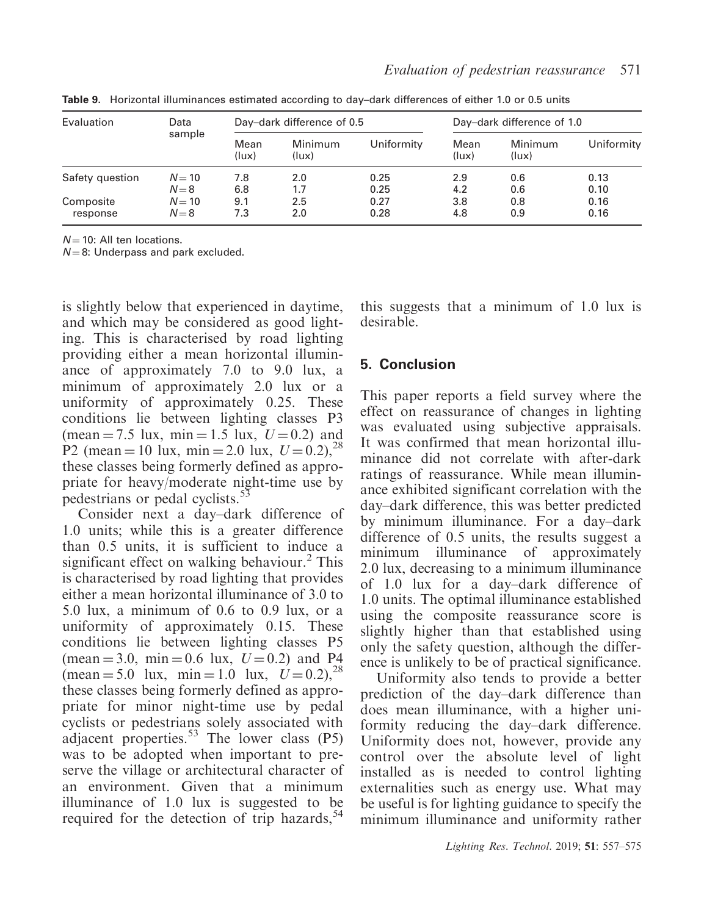| Evaluation      | Data   |               | Day-dark difference of 0.5 |            |               | Day-dark difference of 1.0 |            |
|-----------------|--------|---------------|----------------------------|------------|---------------|----------------------------|------------|
|                 | sample | Mean<br>(lux) | Minimum<br>(lux)           | Uniformity | Mean<br>(lux) | Minimum<br>(lux)           | Uniformity |
| Safety question | $N=10$ | 7.8           | 2.0                        | 0.25       | 2.9           | 0.6                        | 0.13       |
|                 | $N=8$  | 6.8           | 1.7                        | 0.25       | 4.2           | 0.6                        | 0.10       |
| Composite       | $N=10$ | 9.1           | 2.5                        | 0.27       | 3.8           | 0.8                        | 0.16       |
| response        | $N=8$  | 7.3           | 2.0                        | 0.28       | 4.8           | 0.9                        | 0.16       |

Table 9. Horizontal illuminances estimated according to day–dark differences of either 1.0 or 0.5 units

 $N = 10$ : All ten locations.

 $N = 8$ : Underpass and park excluded.

is slightly below that experienced in daytime, and which may be considered as good lighting. This is characterised by road lighting providing either a mean horizontal illuminance of approximately 7.0 to 9.0 lux, a minimum of approximately 2.0 lux or a uniformity of approximately 0.25. These conditions lie between lighting classes P3  $(\text{mean} = 7.5 \text{lux}, \text{min} = 1.5 \text{lux}, U = 0.2)$  and P2 (mean = 10 lux, min = 2.0 lux,  $U = 0.2$ ),<sup>28</sup> these classes being formerly defined as appropriate for heavy/moderate night-time use by pedestrians or pedal cyclists.<sup>53</sup>

Consider next a day–dark difference of 1.0 units; while this is a greater difference than 0.5 units, it is sufficient to induce a significant effect on walking behaviour.<sup>2</sup> This is characterised by road lighting that provides either a mean horizontal illuminance of 3.0 to 5.0 lux, a minimum of 0.6 to 0.9 lux, or a uniformity of approximately 0.15. These conditions lie between lighting classes P5  $(\text{mean} = 3.0, \text{ min} = 0.6 \text{ lux}, U = 0.2) \text{ and } P4$ (mean = 5.0 lux, min = 1.0 lux,  $U = 0.2$ ),<sup>28</sup> these classes being formerly defined as appropriate for minor night-time use by pedal cyclists or pedestrians solely associated with adjacent properties.<sup>53</sup> The lower class  $(P5)$ was to be adopted when important to preserve the village or architectural character of an environment. Given that a minimum illuminance of 1.0 lux is suggested to be required for the detection of trip hazards,<sup>54</sup>

this suggests that a minimum of 1.0 lux is desirable.

### 5. Conclusion

This paper reports a field survey where the effect on reassurance of changes in lighting was evaluated using subjective appraisals. It was confirmed that mean horizontal illuminance did not correlate with after-dark ratings of reassurance. While mean illuminance exhibited significant correlation with the day–dark difference, this was better predicted by minimum illuminance. For a day–dark difference of 0.5 units, the results suggest a minimum illuminance of approximately 2.0 lux, decreasing to a minimum illuminance of 1.0 lux for a day–dark difference of 1.0 units. The optimal illuminance established using the composite reassurance score is slightly higher than that established using only the safety question, although the difference is unlikely to be of practical significance.

Uniformity also tends to provide a better prediction of the day–dark difference than does mean illuminance, with a higher uniformity reducing the day–dark difference. Uniformity does not, however, provide any control over the absolute level of light installed as is needed to control lighting externalities such as energy use. What may be useful is for lighting guidance to specify the minimum illuminance and uniformity rather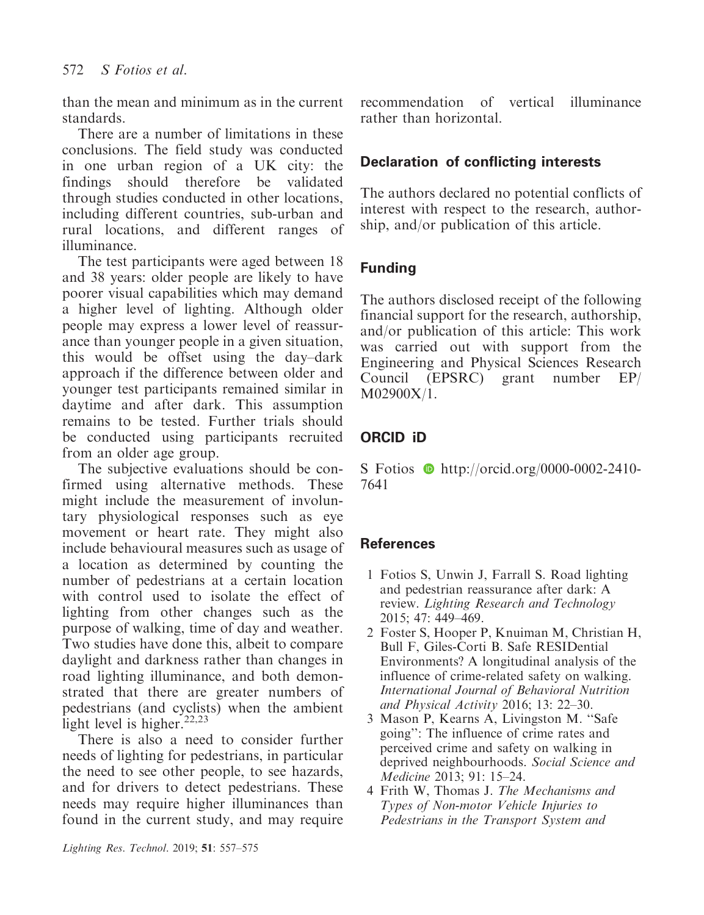than the mean and minimum as in the current standards.

There are a number of limitations in these conclusions. The field study was conducted in one urban region of a UK city: the findings should therefore be validated through studies conducted in other locations, including different countries, sub-urban and rural locations, and different ranges of illuminance.

The test participants were aged between 18 and 38 years: older people are likely to have poorer visual capabilities which may demand a higher level of lighting. Although older people may express a lower level of reassurance than younger people in a given situation, this would be offset using the day–dark approach if the difference between older and younger test participants remained similar in daytime and after dark. This assumption remains to be tested. Further trials should be conducted using participants recruited from an older age group.

The subjective evaluations should be confirmed using alternative methods. These might include the measurement of involuntary physiological responses such as eye movement or heart rate. They might also include behavioural measures such as usage of a location as determined by counting the number of pedestrians at a certain location with control used to isolate the effect of lighting from other changes such as the purpose of walking, time of day and weather. Two studies have done this, albeit to compare daylight and darkness rather than changes in road lighting illuminance, and both demonstrated that there are greater numbers of pedestrians (and cyclists) when the ambient light level is higher.<sup>22,23</sup>

There is also a need to consider further needs of lighting for pedestrians, in particular the need to see other people, to see hazards, and for drivers to detect pedestrians. These needs may require higher illuminances than found in the current study, and may require recommendation of vertical illuminance rather than horizontal.

## Declaration of conflicting interests

The authors declared no potential conflicts of interest with respect to the research, authorship, and/or publication of this article.

## Funding

The authors disclosed receipt of the following financial support for the research, authorship, and/or publication of this article: This work was carried out with support from the Engineering and Physical Sciences Research Council (EPSRC) grant number EP/ M02900X/1.

# ORCID iD

S Fotios  $\bullet$  [http://orcid.org/0000-0002-2410-](http://orcid.org/0000-0002-2410-7641) [7641](http://orcid.org/0000-0002-2410-7641)

# **References**

- 1 Fotios S, Unwin J, Farrall S. Road lighting and pedestrian reassurance after dark: A review. Lighting Research and Technology 2015; 47: 449–469.
- 2 Foster S, Hooper P, Knuiman M, Christian H, Bull F, Giles-Corti B. Safe RESIDential Environments? A longitudinal analysis of the influence of crime-related safety on walking. International Journal of Behavioral Nutrition and Physical Activity 2016; 13: 22–30.
- 3 Mason P, Kearns A, Livingston M. ''Safe going'': The influence of crime rates and perceived crime and safety on walking in deprived neighbourhoods. Social Science and Medicine 2013; 91: 15–24.
- 4 Frith W, Thomas J. The Mechanisms and Types of Non-motor Vehicle Injuries to Pedestrians in the Transport System and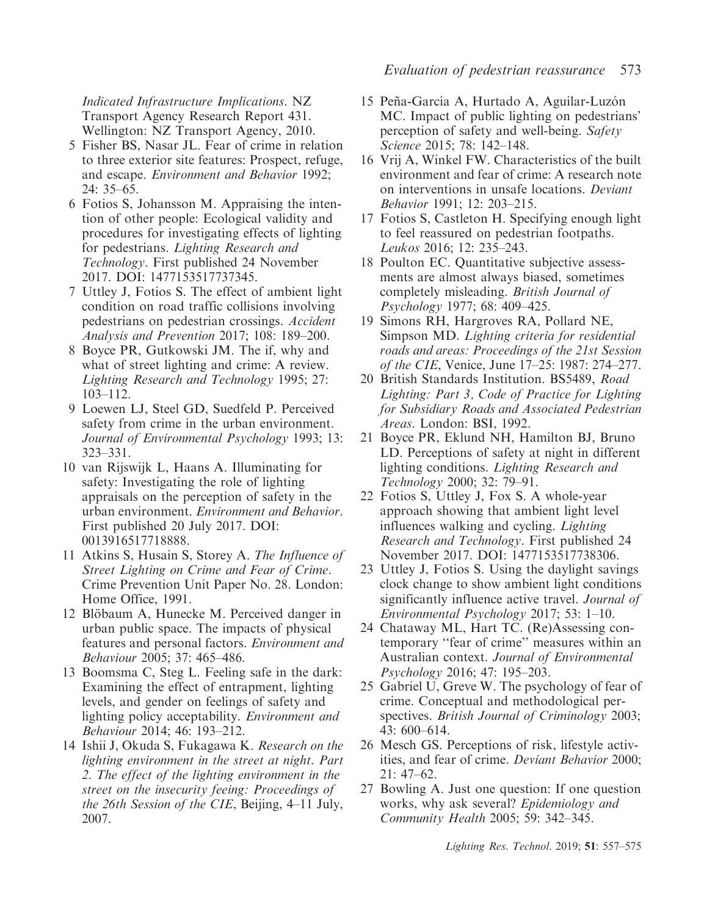Indicated Infrastructure Implications. NZ Transport Agency Research Report 431. Wellington: NZ Transport Agency, 2010.

- 5 Fisher BS, Nasar JL. Fear of crime in relation to three exterior site features: Prospect, refuge, and escape. Environment and Behavior 1992; 24: 35–65.
- 6 Fotios S, Johansson M. Appraising the intention of other people: Ecological validity and procedures for investigating effects of lighting for pedestrians. Lighting Research and Technology. First published 24 November 2017. DOI: 1477153517737345.
- 7 Uttley J, Fotios S. The effect of ambient light condition on road traffic collisions involving pedestrians on pedestrian crossings. Accident Analysis and Prevention 2017; 108: 189–200.
- 8 Boyce PR, Gutkowski JM. The if, why and what of street lighting and crime: A review. Lighting Research and Technology 1995; 27: 103–112.
- 9 Loewen LJ, Steel GD, Suedfeld P. Perceived safety from crime in the urban environment. Journal of Environmental Psychology 1993; 13: 323–331.
- 10 van Rijswijk L, Haans A. Illuminating for safety: Investigating the role of lighting appraisals on the perception of safety in the urban environment. Environment and Behavior. First published 20 July 2017. DOI: 0013916517718888.
- 11 Atkins S, Husain S, Storey A. The Influence of Street Lighting on Crime and Fear of Crime. Crime Prevention Unit Paper No. 28. London: Home Office, 1991.
- 12 Blöbaum A, Hunecke M. Perceived danger in urban public space. The impacts of physical features and personal factors. Environment and Behaviour 2005; 37: 465–486.
- 13 Boomsma C, Steg L. Feeling safe in the dark: Examining the effect of entrapment, lighting levels, and gender on feelings of safety and lighting policy acceptability. Environment and Behaviour 2014; 46: 193–212.
- 14 Ishii J, Okuda S, Fukagawa K. Research on the lighting environment in the street at night. Part 2. The effect of the lighting environment in the street on the insecurity feeing: Proceedings of the 26th Session of the CIE, Beijing, 4–11 July, 2007.
- 15 Peña-García A, Hurtado A, Aguilar-Luzón MC. Impact of public lighting on pedestrians' perception of safety and well-being. Safety Science 2015; 78: 142–148.
- 16 Vrij A, Winkel FW. Characteristics of the built environment and fear of crime: A research note on interventions in unsafe locations. Deviant Behavior 1991; 12: 203–215.
- 17 Fotios S, Castleton H. Specifying enough light to feel reassured on pedestrian footpaths. Leukos 2016; 12: 235–243.
- 18 Poulton EC. Quantitative subjective assessments are almost always biased, sometimes completely misleading. British Journal of Psychology 1977; 68: 409–425.
- 19 Simons RH, Hargroves RA, Pollard NE, Simpson MD. Lighting criteria for residential roads and areas: Proceedings of the 21st Session of the CIE, Venice, June 17–25: 1987: 274–277.
- 20 British Standards Institution. BS5489, Road Lighting: Part 3, Code of Practice for Lighting for Subsidiary Roads and Associated Pedestrian Areas. London: BSI, 1992.
- 21 Boyce PR, Eklund NH, Hamilton BJ, Bruno LD. Perceptions of safety at night in different lighting conditions. Lighting Research and Technology 2000; 32: 79–91.
- 22 Fotios S, Uttley J, Fox S. A whole-year approach showing that ambient light level influences walking and cycling. Lighting Research and Technology. First published 24 November 2017. DOI: 1477153517738306.
- 23 Uttley J, Fotios S. Using the daylight savings clock change to show ambient light conditions significantly influence active travel. Journal of Environmental Psychology 2017; 53: 1–10.
- 24 Chataway ML, Hart TC. (Re)Assessing contemporary ''fear of crime'' measures within an Australian context. Journal of Environmental Psychology 2016; 47: 195–203.
- 25 Gabriel U, Greve W. The psychology of fear of crime. Conceptual and methodological perspectives. *British Journal of Criminology* 2003; 43: 600–614.
- 26 Mesch GS. Perceptions of risk, lifestyle activities, and fear of crime. Deviant Behavior 2000; 21: 47–62.
- 27 Bowling A. Just one question: If one question works, why ask several? Epidemiology and Community Health 2005; 59: 342–345.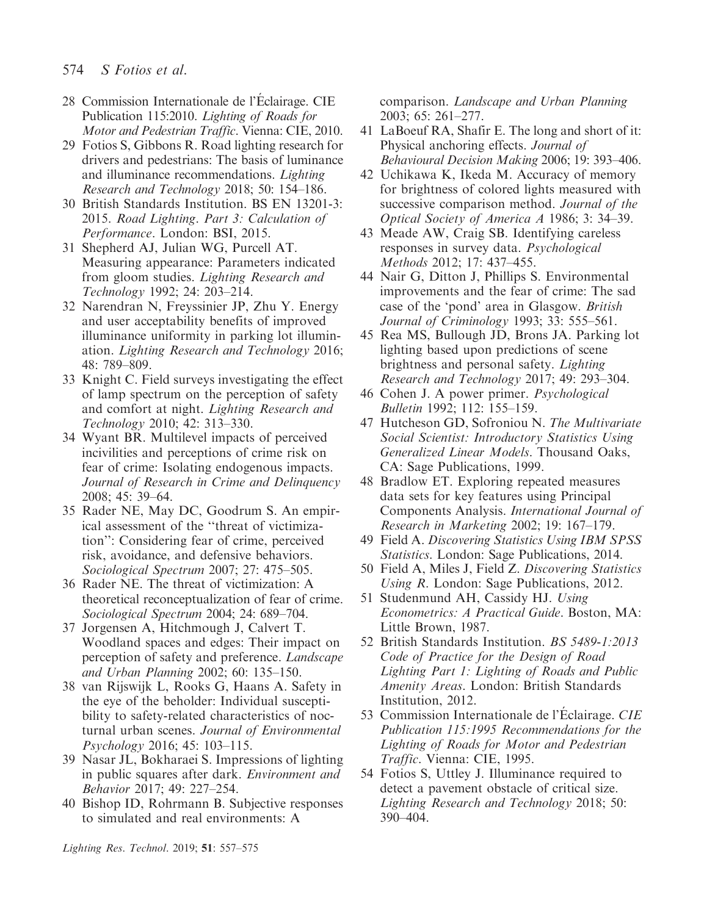- 574 S Fotios et al.
- 28 Commission Internationale de l'Éclairage. CIE Publication 115:2010. Lighting of Roads for Motor and Pedestrian Traffic. Vienna: CIE, 2010.
- 29 Fotios S, Gibbons R. Road lighting research for drivers and pedestrians: The basis of luminance and illuminance recommendations. Lighting Research and Technology 2018; 50: 154–186.
- 30 British Standards Institution. BS EN 13201-3: 2015. Road Lighting. Part 3: Calculation of Performance. London: BSI, 2015.
- 31 Shepherd AJ, Julian WG, Purcell AT. Measuring appearance: Parameters indicated from gloom studies. Lighting Research and Technology 1992; 24: 203–214.
- 32 Narendran N, Freyssinier JP, Zhu Y. Energy and user acceptability benefits of improved illuminance uniformity in parking lot illumination. Lighting Research and Technology 2016; 48: 789–809.
- 33 Knight C. Field surveys investigating the effect of lamp spectrum on the perception of safety and comfort at night. Lighting Research and Technology 2010; 42: 313–330.
- 34 Wyant BR. Multilevel impacts of perceived incivilities and perceptions of crime risk on fear of crime: Isolating endogenous impacts. Journal of Research in Crime and Delinquency 2008; 45: 39–64.
- 35 Rader NE, May DC, Goodrum S. An empirical assessment of the ''threat of victimization'': Considering fear of crime, perceived risk, avoidance, and defensive behaviors. Sociological Spectrum 2007; 27: 475–505.
- 36 Rader NE. The threat of victimization: A theoretical reconceptualization of fear of crime. Sociological Spectrum 2004; 24: 689–704.
- 37 Jorgensen A, Hitchmough J, Calvert T. Woodland spaces and edges: Their impact on perception of safety and preference. Landscape and Urban Planning 2002; 60: 135–150.
- 38 van Rijswijk L, Rooks G, Haans A. Safety in the eye of the beholder: Individual susceptibility to safety-related characteristics of nocturnal urban scenes. Journal of Environmental Psychology 2016; 45: 103–115.
- 39 Nasar JL, Bokharaei S. Impressions of lighting in public squares after dark. Environment and Behavior 2017; 49: 227–254.
- 40 Bishop ID, Rohrmann B. Subjective responses to simulated and real environments: A

comparison. Landscape and Urban Planning 2003; 65: 261–277.

- 41 LaBoeuf RA, Shafir E. The long and short of it: Physical anchoring effects. Journal of Behavioural Decision Making 2006; 19: 393–406.
- 42 Uchikawa K, Ikeda M. Accuracy of memory for brightness of colored lights measured with successive comparison method. Journal of the Optical Society of America A 1986; 3: 34–39.
- 43 Meade AW, Craig SB. Identifying careless responses in survey data. Psychological Methods 2012; 17: 437–455.
- 44 Nair G, Ditton J, Phillips S. Environmental improvements and the fear of crime: The sad case of the 'pond' area in Glasgow. British Journal of Criminology 1993; 33: 555–561.
- 45 Rea MS, Bullough JD, Brons JA. Parking lot lighting based upon predictions of scene brightness and personal safety. Lighting Research and Technology 2017; 49: 293–304.
- 46 Cohen J. A power primer. Psychological Bulletin 1992; 112: 155–159.
- 47 Hutcheson GD, Sofroniou N. The Multivariate Social Scientist: Introductory Statistics Using Generalized Linear Models. Thousand Oaks, CA: Sage Publications, 1999.
- 48 Bradlow ET. Exploring repeated measures data sets for key features using Principal Components Analysis. International Journal of Research in Marketing 2002; 19: 167–179.
- 49 Field A. Discovering Statistics Using IBM SPSS Statistics. London: Sage Publications, 2014.
- 50 Field A, Miles J, Field Z. Discovering Statistics Using R. London: Sage Publications, 2012.
- 51 Studenmund AH, Cassidy HJ. Using Econometrics: A Practical Guide. Boston, MA: Little Brown, 1987.
- 52 British Standards Institution. BS 5489-1:2013 Code of Practice for the Design of Road Lighting Part 1: Lighting of Roads and Public Amenity Areas. London: British Standards Institution, 2012.
- 53 Commission Internationale de l'Eclairage. CIE Publication 115:1995 Recommendations for the Lighting of Roads for Motor and Pedestrian Traffic. Vienna: CIE, 1995.
- 54 Fotios S, Uttley J. Illuminance required to detect a pavement obstacle of critical size. Lighting Research and Technology 2018; 50: 390–404.

Lighting Res. Technol. 2019; 51: 557–575